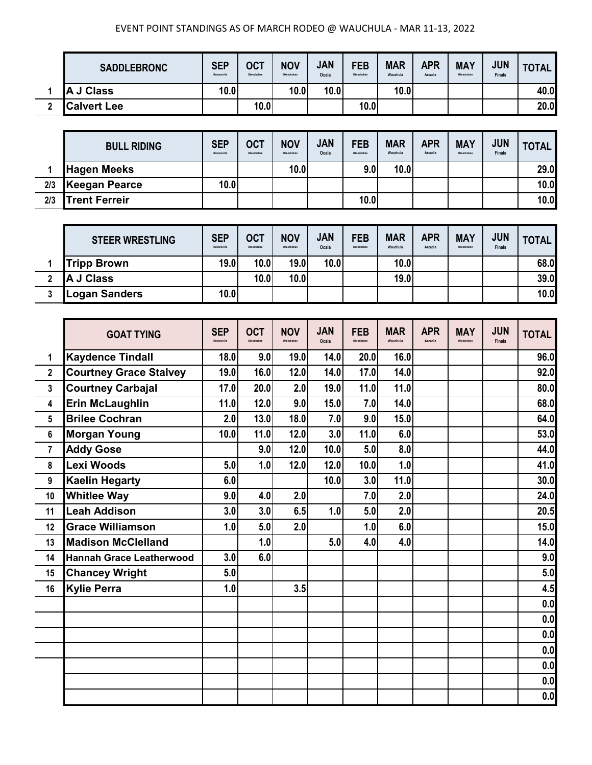## EVENT POINT STANDINGS AS OF MARCH RODEO @ WAUCHULA - MAR 11-13, 2022

| <b>SADDLEBRONC</b> | <b>SEP</b><br>Kenansville | <b>OCT</b><br>Okeechobee | <b>NOV</b><br>Okeechobee | JAN<br>Ocala | <b>FEB</b><br>Okeechobee | <b>MAR</b><br>Wauchula | <b>APR</b><br>Arcadia | <b>MAY</b><br>Okeechobee | <b>JUN</b><br><b>Finals</b> | <b>TOTAL</b> |
|--------------------|---------------------------|--------------------------|--------------------------|--------------|--------------------------|------------------------|-----------------------|--------------------------|-----------------------------|--------------|
| A J Class          | 10.0                      |                          | 10.0                     | 10.0         |                          | 10.0                   |                       |                          |                             | 40.0         |
| <b>Calvert Lee</b> |                           | 10.0                     |                          |              | 10.0                     |                        |                       |                          |                             | 20.0         |

|     | <b>BULL RIDING</b>   | <b>SEP</b><br>Kenansville | <b>OCT</b><br>Okeechobee | <b>NOV</b><br>Okeechobee | <b>JAN</b><br>Ocala | <b>FEB</b><br>Okeechobee | <b>MAR</b><br>Wauchula | <b>APR</b><br>Arcadia | <b>MAY</b><br>Okeechobee | <b>JUN</b><br><b>Finals</b> | <b>TOTAL</b> |
|-----|----------------------|---------------------------|--------------------------|--------------------------|---------------------|--------------------------|------------------------|-----------------------|--------------------------|-----------------------------|--------------|
|     | <b>Hagen Meeks</b>   |                           |                          | 10.0                     |                     | 9.0                      | 10.0                   |                       |                          |                             | 29.0         |
| 2/3 | Keegan Pearce        | 10.0                      |                          |                          |                     |                          |                        |                       |                          |                             | 10.0         |
| 2/3 | <b>Trent Ferreir</b> |                           |                          |                          |                     | 10.0                     |                        |                       |                          |                             | 10.0         |

| <b>STEER WRESTLING</b> | <b>SEP</b><br>Kenansville | <b>OCT</b><br>Okeechobee | <b>NOV</b><br>Okeechobee | <b>JAN</b><br>Ocala | <b>FEB</b><br>Okeechobee | <b>MAR</b><br>Wauchula | <b>APR</b><br>Arcadia | <b>MAY</b><br>Okeechobee | <b>JUN</b><br><b>Finals</b> | <b>TOTAL</b> |
|------------------------|---------------------------|--------------------------|--------------------------|---------------------|--------------------------|------------------------|-----------------------|--------------------------|-----------------------------|--------------|
| <b>Tripp Brown</b>     | 19.0                      | 10.0                     | 19.0                     | 10.0                |                          | 10.0                   |                       |                          |                             | 68.0         |
| <b>A J Class</b>       |                           | 10.0                     | 10.0                     |                     |                          | 19.0                   |                       |                          |                             | 39.0         |
| <b>Logan Sanders</b>   | 10.0                      |                          |                          |                     |                          |                        |                       |                          |                             | 10.0         |

|                | <b>GOAT TYING</b>               | <b>SEP</b><br>Kenneville | <b>OCT</b><br>Okeechobee | <b>NOV</b><br>Okeechobee | <b>JAN</b><br>Ocala | <b>FEB</b><br>Okeachobas | <b>MAR</b><br>Wauchula | <b>APR</b><br>Arcadia | <b>MAY</b><br>Okeechobee | <b>JUN</b><br><b>Finals</b> | <b>TOTAL</b> |
|----------------|---------------------------------|--------------------------|--------------------------|--------------------------|---------------------|--------------------------|------------------------|-----------------------|--------------------------|-----------------------------|--------------|
| 1              | <b>Kaydence Tindall</b>         | 18.0                     | 9.0                      | 19.0                     | 14.0                | 20.0                     | 16.0                   |                       |                          |                             | 96.0         |
| $\overline{2}$ | <b>Courtney Grace Stalvey</b>   | 19.0                     | 16.0                     | 12.0                     | 14.0                | 17.0                     | 14.0                   |                       |                          |                             | 92.0         |
| $\overline{3}$ | <b>Courtney Carbajal</b>        | 17.0                     | 20.0                     | 2.0                      | 19.0                | 11.0                     | 11.0                   |                       |                          |                             | 80.0         |
| 4              | <b>Erin McLaughlin</b>          | 11.0                     | 12.0                     | 9.0                      | 15.0                | 7.0                      | 14.0                   |                       |                          |                             | 68.0         |
| 5              | <b>Brilee Cochran</b>           | 2.0                      | 13.0                     | 18.0                     | 7.0                 | 9.0                      | 15.0                   |                       |                          |                             | 64.0         |
| 6              | <b>Morgan Young</b>             | 10.0                     | 11.0                     | 12.0                     | 3.0                 | 11.0                     | 6.0                    |                       |                          |                             | 53.0         |
| $\overline{7}$ | <b>Addy Gose</b>                |                          | 9.0                      | 12.0                     | 10.0                | 5.0                      | 8.0                    |                       |                          |                             | 44.0         |
| 8              | Lexi Woods                      | 5.0                      | 1.0                      | 12.0                     | 12.0                | 10.0                     | 1.0                    |                       |                          |                             | 41.0         |
| 9              | <b>Kaelin Hegarty</b>           | 6.0                      |                          |                          | 10.0                | 3.0                      | 11.0                   |                       |                          |                             | 30.0         |
| 10             | <b>Whitlee Way</b>              | 9.0                      | 4.0                      | 2.0                      |                     | 7.0                      | 2.0                    |                       |                          |                             | 24.0         |
| 11             | <b>Leah Addison</b>             | 3.0                      | 3.0                      | 6.5                      | 1.0                 | 5.0                      | 2.0                    |                       |                          |                             | 20.5         |
| 12             | <b>Grace Williamson</b>         | 1.0                      | 5.0                      | 2.0                      |                     | 1.0                      | 6.0                    |                       |                          |                             | 15.0         |
| 13             | <b>Madison McClelland</b>       |                          | 1.0                      |                          | 5.0                 | 4.0                      | 4.0                    |                       |                          |                             | 14.0         |
| 14             | <b>Hannah Grace Leatherwood</b> | 3.0                      | 6.0                      |                          |                     |                          |                        |                       |                          |                             | 9.0          |
| 15             | <b>Chancey Wright</b>           | 5.0                      |                          |                          |                     |                          |                        |                       |                          |                             | 5.0          |
| 16             | <b>Kylie Perra</b>              | 1.0                      |                          | 3.5                      |                     |                          |                        |                       |                          |                             | 4.5          |
|                |                                 |                          |                          |                          |                     |                          |                        |                       |                          |                             | 0.0          |
|                |                                 |                          |                          |                          |                     |                          |                        |                       |                          |                             | 0.0          |
|                |                                 |                          |                          |                          |                     |                          |                        |                       |                          |                             | 0.0          |
|                |                                 |                          |                          |                          |                     |                          |                        |                       |                          |                             | 0.0          |
|                |                                 |                          |                          |                          |                     |                          |                        |                       |                          |                             | 0.0          |
|                |                                 |                          |                          |                          |                     |                          |                        |                       |                          |                             | 0.0          |
|                |                                 |                          |                          |                          |                     |                          |                        |                       |                          |                             | 0.0          |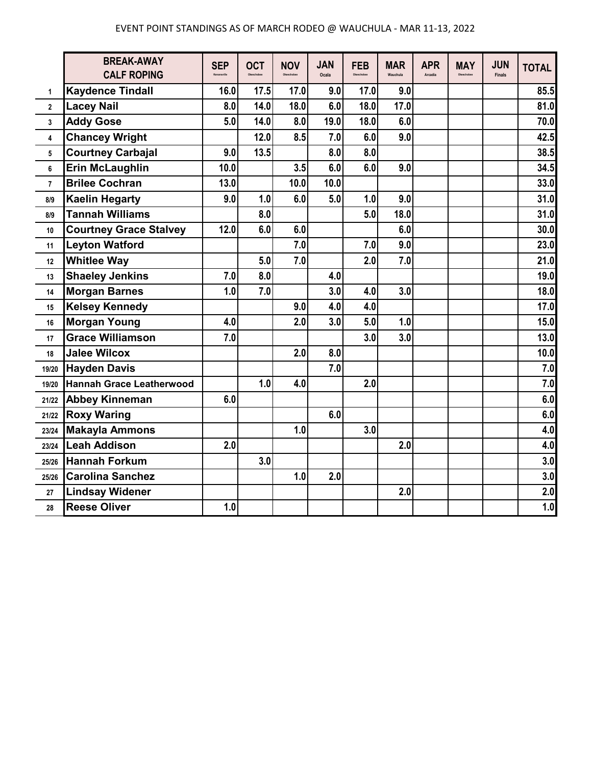|                         | <b>BREAK-AWAY</b><br><b>CALF ROPING</b> | <b>SEP</b><br>Kenansville | <b>OCT</b> | <b>NOV</b> | <b>JAN</b><br>Ocala | <b>FEB</b> | <b>MAR</b><br>Wauchula | <b>APR</b><br>Arcadia | <b>MAY</b><br>Okeechobee | <b>JUN</b><br>Finals | <b>TOTAL</b> |
|-------------------------|-----------------------------------------|---------------------------|------------|------------|---------------------|------------|------------------------|-----------------------|--------------------------|----------------------|--------------|
| 1                       | <b>Kaydence Tindall</b>                 | 16.0                      | 17.5       | 17.0       | 9.0                 | 17.0       | 9.0                    |                       |                          |                      | 85.5         |
| $\mathbf{2}$            | <b>Lacey Nail</b>                       | 8.0                       | 14.0       | 18.0       | 6.0                 | 18.0       | 17.0                   |                       |                          |                      | 81.0         |
| 3                       | <b>Addy Gose</b>                        | 5.0                       | 14.0       | 8.0        | 19.0                | 18.0       | 6.0                    |                       |                          |                      | 70.0         |
| $\overline{\mathbf{4}}$ | <b>Chancey Wright</b>                   |                           | 12.0       | 8.5        | 7.0                 | 6.0        | 9.0                    |                       |                          |                      | 42.5         |
| 5                       | <b>Courtney Carbajal</b>                | 9.0                       | 13.5       |            | 8.0                 | 8.0        |                        |                       |                          |                      | 38.5         |
| 6                       | <b>Erin McLaughlin</b>                  | 10.0                      |            | 3.5        | 6.0                 | 6.0        | 9.0                    |                       |                          |                      | 34.5         |
| $\overline{7}$          | <b>Brilee Cochran</b>                   | 13.0                      |            | 10.0       | 10.0                |            |                        |                       |                          |                      | 33.0         |
| 8/9                     | <b>Kaelin Hegarty</b>                   | 9.0                       | 1.0        | 6.0        | 5.0                 | 1.0        | 9.0                    |                       |                          |                      | 31.0         |
| 8/9                     | <b>Tannah Williams</b>                  |                           | 8.0        |            |                     | 5.0        | 18.0                   |                       |                          |                      | 31.0         |
| 10                      | <b>Courtney Grace Stalvey</b>           | 12.0                      | 6.0        | 6.0        |                     |            | 6.0                    |                       |                          |                      | 30.0         |
| 11                      | <b>Leyton Watford</b>                   |                           |            | 7.0        |                     | 7.0        | 9.0                    |                       |                          |                      | 23.0         |
| 12                      | <b>Whitlee Way</b>                      |                           | 5.0        | 7.0        |                     | 2.0        | 7.0                    |                       |                          |                      | 21.0         |
| 13                      | <b>Shaeley Jenkins</b>                  | 7.0                       | 8.0        |            | 4.0                 |            |                        |                       |                          |                      | 19.0         |
| 14                      | <b>Morgan Barnes</b>                    | 1.0                       | 7.0        |            | 3.0                 | 4.0        | 3.0                    |                       |                          |                      | 18.0         |
| 15                      | <b>Kelsey Kennedy</b>                   |                           |            | 9.0        | 4.0                 | 4.0        |                        |                       |                          |                      | 17.0         |
| 16                      | <b>Morgan Young</b>                     | 4.0                       |            | 2.0        | 3.0                 | 5.0        | 1.0                    |                       |                          |                      | 15.0         |
| 17                      | <b>Grace Williamson</b>                 | 7.0                       |            |            |                     | 3.0        | 3.0                    |                       |                          |                      | 13.0         |
| 18                      | <b>Jalee Wilcox</b>                     |                           |            | 2.0        | 8.0                 |            |                        |                       |                          |                      | 10.0         |
| 19/20                   | <b>Hayden Davis</b>                     |                           |            |            | 7.0                 |            |                        |                       |                          |                      | 7.0          |
| 19/20                   | <b>Hannah Grace Leatherwood</b>         |                           | 1.0        | 4.0        |                     | 2.0        |                        |                       |                          |                      | 7.0          |
| 21/22                   | <b>Abbey Kinneman</b>                   | 6.0                       |            |            |                     |            |                        |                       |                          |                      | 6.0          |
| 21/22                   | <b>Roxy Waring</b>                      |                           |            |            | 6.0                 |            |                        |                       |                          |                      | 6.0          |
| 23/24                   | <b>Makayla Ammons</b>                   |                           |            | 1.0        |                     | 3.0        |                        |                       |                          |                      | 4.0          |
| 23/24                   | <b>Leah Addison</b>                     | 2.0                       |            |            |                     |            | 2.0                    |                       |                          |                      | 4.0          |
| 25/26                   | <b>Hannah Forkum</b>                    |                           | 3.0        |            |                     |            |                        |                       |                          |                      | 3.0          |
| 25/26                   | <b>Carolina Sanchez</b>                 |                           |            | 1.0        | 2.0                 |            |                        |                       |                          |                      | 3.0          |
| 27                      | <b>Lindsay Widener</b>                  |                           |            |            |                     |            | 2.0                    |                       |                          |                      | 2.0          |
| 28                      | <b>Reese Oliver</b>                     | 1.0                       |            |            |                     |            |                        |                       |                          |                      | 1.0          |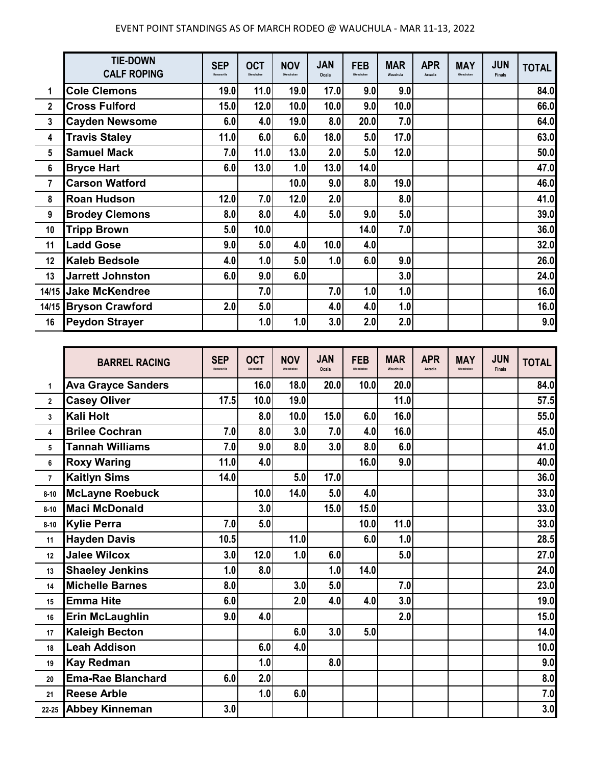## EVENT POINT STANDINGS AS OF MARCH RODEO @ WAUCHULA - MAR 11-13, 2022

|                         | <b>TIE-DOWN</b><br><b>CALF ROPING</b> | <b>SEP</b><br>Kenansville | <b>OCT</b><br>Okeechobee | <b>NOV</b><br>Okeachobee | <b>JAN</b><br>Ocala | <b>FEB</b><br>Okeechobee | <b>MAR</b><br>Wauchula | <b>APR</b><br>Arcadia | <b>MAY</b><br>Okeechobee | <b>JUN</b><br><b>Finals</b> | <b>TOTAL</b> |
|-------------------------|---------------------------------------|---------------------------|--------------------------|--------------------------|---------------------|--------------------------|------------------------|-----------------------|--------------------------|-----------------------------|--------------|
| 1                       | <b>Cole Clemons</b>                   | 19.0                      | 11.0                     | 19.0                     | 17.0                | 9.0                      | 9.0                    |                       |                          |                             | 84.0         |
| $\mathbf 2$             | <b>Cross Fulford</b>                  | 15.0                      | 12.0                     | 10.0                     | 10.0                | 9.0                      | 10.0                   |                       |                          |                             | 66.0         |
| 3                       | <b>Cayden Newsome</b>                 | 6.0                       | 4.0                      | 19.0                     | 8.0                 | 20.0                     | 7.0                    |                       |                          |                             | 64.0         |
| 4                       | <b>Travis Staley</b>                  | 11.0                      | 6.0                      | 6.0                      | 18.0                | 5.0                      | 17.0                   |                       |                          |                             | 63.0         |
| 5                       | <b>Samuel Mack</b>                    | 7.0                       | 11.0                     | 13.0                     | 2.0                 | 5.0                      | 12.0                   |                       |                          |                             | 50.0         |
| 6                       | <b>Bryce Hart</b>                     | 6.0                       | 13.0                     | 1.0                      | 13.0                | 14.0                     |                        |                       |                          |                             | 47.0         |
| $\overline{\mathbf{r}}$ | <b>Carson Watford</b>                 |                           |                          | 10.0                     | 9.0                 | 8.0                      | 19.0                   |                       |                          |                             | 46.0         |
| 8                       | <b>Roan Hudson</b>                    | 12.0                      | 7.0                      | 12.0                     | 2.0                 |                          | 8.0                    |                       |                          |                             | 41.0         |
| 9                       | <b>Brodey Clemons</b>                 | 8.0                       | 8.0                      | 4.0                      | 5.0                 | 9.0                      | 5.0                    |                       |                          |                             | 39.0         |
| 10                      | <b>Tripp Brown</b>                    | 5.0                       | 10.0                     |                          |                     | 14.0                     | 7.0                    |                       |                          |                             | 36.0         |
| 11                      | <b>Ladd Gose</b>                      | 9.0                       | 5.0                      | 4.0                      | 10.0                | 4.0                      |                        |                       |                          |                             | 32.0         |
| 12                      | <b>Kaleb Bedsole</b>                  | 4.0                       | 1.0                      | 5.0                      | 1.0                 | 6.0                      | 9.0                    |                       |                          |                             | 26.0         |
| 13                      | <b>Jarrett Johnston</b>               | 6.0                       | 9.0                      | 6.0                      |                     |                          | 3.0                    |                       |                          |                             | 24.0         |
|                         | 14/15 Jake McKendree                  |                           | 7.0                      |                          | 7.0                 | 1.0                      | 1.0                    |                       |                          |                             | 16.0         |
|                         | 14/15 Bryson Crawford                 | 2.0                       | 5.0                      |                          | 4.0                 | 4.0                      | 1.0                    |                       |                          |                             | 16.0         |
| 16                      | <b>Peydon Strayer</b>                 |                           | 1.0                      | 1.0                      | 3.0                 | 2.0                      | 2.0                    |                       |                          |                             | 9.0          |

|                | <b>BARREL RACING</b>      | <b>SEP</b><br>Kenansville | <b>OCT</b><br>Okeechober | <b>NOV</b><br>Okeechober | <b>JAN</b><br>Ocala | <b>FEB</b><br>Okeechobee | <b>MAR</b><br>Wauchula | <b>APR</b><br>Arcadia | <b>MAY</b><br>Okeechobee | <b>JUN</b><br><b>Finals</b> | <b>TOTAL</b> |
|----------------|---------------------------|---------------------------|--------------------------|--------------------------|---------------------|--------------------------|------------------------|-----------------------|--------------------------|-----------------------------|--------------|
| 1              | <b>Ava Grayce Sanders</b> |                           | 16.0                     | 18.0                     | 20.0                | 10.0                     | 20.0                   |                       |                          |                             | 84.0         |
| $\overline{2}$ | <b>Casey Oliver</b>       | 17.5                      | 10.0                     | 19.0                     |                     |                          | 11.0                   |                       |                          |                             | 57.5         |
| 3              | Kali Holt                 |                           | 8.0                      | 10.0                     | 15.0                | 6.0                      | 16.0                   |                       |                          |                             | 55.0         |
| 4              | <b>Brilee Cochran</b>     | 7.0                       | 8.0                      | 3.0                      | 7.0                 | 4.0                      | 16.0                   |                       |                          |                             | 45.0         |
| 5              | <b>Tannah Williams</b>    | 7.0                       | 9.0                      | 8.0                      | 3.0                 | 8.0                      | 6.0                    |                       |                          |                             | 41.0         |
| 6              | <b>Roxy Waring</b>        | 11.0                      | 4.0                      |                          |                     | 16.0                     | 9.0                    |                       |                          |                             | 40.0         |
| $\overline{7}$ | <b>Kaitlyn Sims</b>       | 14.0                      |                          | 5.0                      | 17.0                |                          |                        |                       |                          |                             | 36.0         |
| $8 - 10$       | <b>McLayne Roebuck</b>    |                           | 10.0                     | 14.0                     | 5.0                 | 4.0                      |                        |                       |                          |                             | 33.0         |
| $8 - 10$       | <b>Maci McDonald</b>      |                           | 3.0                      |                          | 15.0                | 15.0                     |                        |                       |                          |                             | 33.0         |
| $8 - 10$       | <b>Kylie Perra</b>        | 7.0                       | 5.0                      |                          |                     | 10.0                     | 11.0                   |                       |                          |                             | 33.0         |
| 11             | <b>Hayden Davis</b>       | 10.5                      |                          | 11.0                     |                     | 6.0                      | 1.0                    |                       |                          |                             | 28.5         |
| 12             | <b>Jalee Wilcox</b>       | 3.0                       | 12.0                     | 1.0                      | 6.0                 |                          | 5.0                    |                       |                          |                             | 27.0         |
| 13             | <b>Shaeley Jenkins</b>    | 1.0                       | 8.0                      |                          | 1.0                 | 14.0                     |                        |                       |                          |                             | 24.0         |
| 14             | <b>Michelle Barnes</b>    | 8.0                       |                          | 3.0                      | 5.0                 |                          | 7.0                    |                       |                          |                             | 23.0         |
| 15             | <b>Emma Hite</b>          | 6.0                       |                          | 2.0                      | 4.0                 | 4.0                      | 3.0                    |                       |                          |                             | 19.0         |
| 16             | <b>Erin McLaughlin</b>    | 9.0                       | 4.0                      |                          |                     |                          | 2.0                    |                       |                          |                             | 15.0         |
| 17             | <b>Kaleigh Becton</b>     |                           |                          | 6.0                      | 3.0                 | 5.0                      |                        |                       |                          |                             | 14.0         |
| 18             | <b>Leah Addison</b>       |                           | 6.0                      | 4.0                      |                     |                          |                        |                       |                          |                             | 10.0         |
| 19             | <b>Kay Redman</b>         |                           | 1.0                      |                          | 8.0                 |                          |                        |                       |                          |                             | 9.0          |
| 20             | <b>Ema-Rae Blanchard</b>  | 6.0                       | 2.0                      |                          |                     |                          |                        |                       |                          |                             | 8.0          |
| 21             | <b>Reese Arble</b>        |                           | 1.0                      | 6.0                      |                     |                          |                        |                       |                          |                             | 7.0          |
| 22-25          | <b>Abbey Kinneman</b>     | 3.0                       |                          |                          |                     |                          |                        |                       |                          |                             | 3.0          |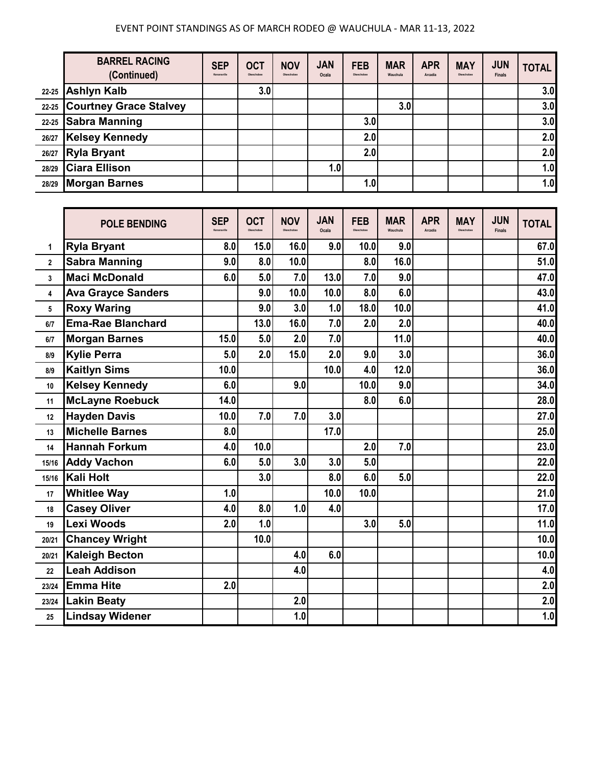|           | <b>BARREL RACING</b><br>(Continued) | <b>SEP</b><br>Kenansville | <b>OCT</b><br>Okeechobee | <b>NOV</b><br>Okeechobee | <b>JAN</b><br>Ocala | <b>FEB</b><br>Okeechobee | <b>MAR</b><br>Wauchula | <b>APR</b><br>Arcadia | <b>MAY</b><br>Okeechobee | <b>JUN</b><br><b>Finals</b> | <b>TOTAL</b> |
|-----------|-------------------------------------|---------------------------|--------------------------|--------------------------|---------------------|--------------------------|------------------------|-----------------------|--------------------------|-----------------------------|--------------|
| $22 - 25$ | <b>Ashlyn Kalb</b>                  |                           | 3.0                      |                          |                     |                          |                        |                       |                          |                             | 3.0          |
| 22-25     | <b>Courtney Grace Stalvey</b>       |                           |                          |                          |                     |                          | 3.0                    |                       |                          |                             | 3.0          |
| $22 - 25$ | Sabra Manning                       |                           |                          |                          |                     | 3.0                      |                        |                       |                          |                             | 3.0          |
| 26/27     | <b>Kelsey Kennedy</b>               |                           |                          |                          |                     | 2.0                      |                        |                       |                          |                             | 2.0          |
| 26/27     | <b>Ryla Bryant</b>                  |                           |                          |                          |                     | 2.0                      |                        |                       |                          |                             | 2.0          |
| 28/29     | <b>Ciara Ellison</b>                |                           |                          |                          | 1.0                 |                          |                        |                       |                          |                             | 1.0          |
| 28/29     | <b>Morgan Barnes</b>                |                           |                          |                          |                     | 1.0                      |                        |                       |                          |                             | 1.0          |

|              | <b>POLE BENDING</b>       | <b>SEP</b><br>Kenansville | <b>OCT</b> | <b>NOV</b> | <b>JAN</b><br>Ocala | <b>FEB</b> | <b>MAR</b><br>Wauchula | <b>APR</b><br>Arcadia | <b>MAY</b><br>Okeechobee | <b>JUN</b><br><b>Finals</b> | <b>TOTAL</b> |
|--------------|---------------------------|---------------------------|------------|------------|---------------------|------------|------------------------|-----------------------|--------------------------|-----------------------------|--------------|
| 1            | <b>Ryla Bryant</b>        | 8.0                       | 15.0       | 16.0       | 9.0                 | 10.0       | 9.0                    |                       |                          |                             | 67.0         |
| $\mathbf{2}$ | <b>Sabra Manning</b>      | 9.0                       | 8.0        | 10.0       |                     | 8.0        | 16.0                   |                       |                          |                             | 51.0         |
| 3            | <b>Maci McDonald</b>      | 6.0                       | 5.0        | 7.0        | 13.0                | 7.0        | 9.0                    |                       |                          |                             | 47.0         |
| 4            | <b>Ava Grayce Sanders</b> |                           | 9.0        | 10.0       | 10.0                | 8.0        | 6.0                    |                       |                          |                             | 43.0         |
| 5            | <b>Roxy Waring</b>        |                           | 9.0        | 3.0        | 1.0                 | 18.0       | 10.0                   |                       |                          |                             | 41.0         |
| 6/7          | <b>Ema-Rae Blanchard</b>  |                           | 13.0       | 16.0       | 7.0                 | 2.0        | 2.0                    |                       |                          |                             | 40.0         |
| 6/7          | <b>Morgan Barnes</b>      | 15.0                      | 5.0        | 2.0        | 7.0                 |            | 11.0                   |                       |                          |                             | 40.0         |
| 8/9          | <b>Kylie Perra</b>        | 5.0                       | 2.0        | 15.0       | 2.0                 | 9.0        | 3.0                    |                       |                          |                             | 36.0         |
| 8/9          | <b>Kaitlyn Sims</b>       | 10.0                      |            |            | 10.0                | 4.0        | 12.0                   |                       |                          |                             | 36.0         |
| 10           | <b>Kelsey Kennedy</b>     | 6.0                       |            | 9.0        |                     | 10.0       | 9.0                    |                       |                          |                             | 34.0         |
| 11           | <b>McLayne Roebuck</b>    | 14.0                      |            |            |                     | 8.0        | 6.0                    |                       |                          |                             | 28.0         |
| 12           | <b>Hayden Davis</b>       | 10.0                      | 7.0        | 7.0        | 3.0                 |            |                        |                       |                          |                             | 27.0         |
| 13           | <b>Michelle Barnes</b>    | 8.0                       |            |            | 17.0                |            |                        |                       |                          |                             | 25.0         |
| 14           | <b>Hannah Forkum</b>      | 4.0                       | 10.0       |            |                     | 2.0        | 7.0                    |                       |                          |                             | 23.0         |
| 15/16        | <b>Addy Vachon</b>        | 6.0                       | 5.0        | 3.0        | 3.0                 | 5.0        |                        |                       |                          |                             | 22.0         |
| 15/16        | Kali Holt                 |                           | 3.0        |            | 8.0                 | 6.0        | 5.0                    |                       |                          |                             | 22.0         |
| 17           | <b>Whitlee Way</b>        | 1.0                       |            |            | 10.0                | 10.0       |                        |                       |                          |                             | 21.0         |
| 18           | <b>Casey Oliver</b>       | 4.0                       | 8.0        | 1.0        | 4.0                 |            |                        |                       |                          |                             | 17.0         |
| 19           | Lexi Woods                | 2.0                       | 1.0        |            |                     | 3.0        | 5.0                    |                       |                          |                             | 11.0         |
| 20/21        | <b>Chancey Wright</b>     |                           | 10.0       |            |                     |            |                        |                       |                          |                             | 10.0         |
| 20/21        | <b>Kaleigh Becton</b>     |                           |            | 4.0        | 6.0                 |            |                        |                       |                          |                             | 10.0         |
| 22           | <b>Leah Addison</b>       |                           |            | 4.0        |                     |            |                        |                       |                          |                             | 4.0          |
| 23/24        | <b>Emma Hite</b>          | 2.0                       |            |            |                     |            |                        |                       |                          |                             | 2.0          |
| 23/24        | <b>Lakin Beaty</b>        |                           |            | 2.0        |                     |            |                        |                       |                          |                             | 2.0          |
| 25           | <b>Lindsay Widener</b>    |                           |            | 1.0        |                     |            |                        |                       |                          |                             | 1.0          |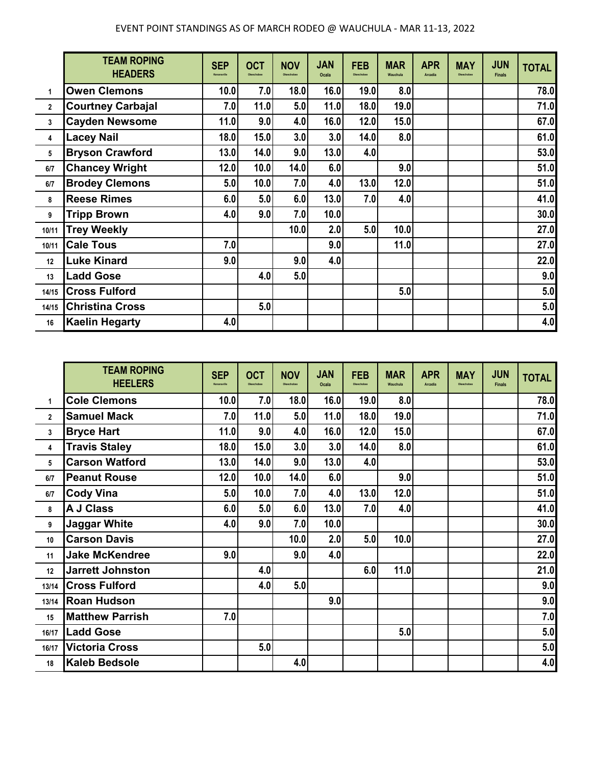|              | <b>TEAM ROPING</b><br><b>HEADERS</b> | <b>SEP</b><br>Kenansville | <b>OCT</b><br>Okeechobee | <b>NOV</b><br>Okeechobee | <b>JAN</b><br>Ocala | <b>FEB</b><br>Okeechobee | <b>MAR</b><br>Wauchula | <b>APR</b><br><b>Arcadia</b> | <b>MAY</b><br>Okeechobee | <b>JUN</b><br><b>Finals</b> | <b>TOTAL</b> |
|--------------|--------------------------------------|---------------------------|--------------------------|--------------------------|---------------------|--------------------------|------------------------|------------------------------|--------------------------|-----------------------------|--------------|
| 1            | <b>Owen Clemons</b>                  | 10.0                      | 7.0                      | 18.0                     | 16.0                | 19.0                     | 8.0                    |                              |                          |                             | 78.0         |
| $\mathbf{2}$ | <b>Courtney Carbajal</b>             | 7.0                       | 11.0                     | 5.0                      | 11.0                | 18.0                     | 19.0                   |                              |                          |                             | 71.0         |
| 3            | <b>Cayden Newsome</b>                | 11.0                      | 9.0                      | 4.0                      | 16.0                | 12.0                     | 15.0                   |                              |                          |                             | 67.0         |
| 4            | <b>Lacey Nail</b>                    | 18.0                      | 15.0                     | 3.0                      | 3.0                 | 14.0                     | 8.0                    |                              |                          |                             | 61.0         |
| 5            | <b>Bryson Crawford</b>               | 13.0                      | 14.0                     | 9.0                      | 13.0                | 4.0                      |                        |                              |                          |                             | 53.0         |
| 6/7          | <b>Chancey Wright</b>                | 12.0                      | 10.0                     | 14.0                     | 6.0                 |                          | 9.0                    |                              |                          |                             | 51.0         |
| 6/7          | <b>Brodey Clemons</b>                | 5.0                       | 10.0                     | 7.0                      | 4.0                 | 13.0                     | 12.0                   |                              |                          |                             | 51.0         |
| 8            | <b>Reese Rimes</b>                   | 6.0                       | 5.0                      | 6.0                      | 13.0                | 7.0                      | 4.0                    |                              |                          |                             | 41.0         |
| 9            | <b>Tripp Brown</b>                   | 4.0                       | 9.0                      | 7.0                      | 10.0                |                          |                        |                              |                          |                             | 30.0         |
| 10/11        | <b>Trey Weekly</b>                   |                           |                          | 10.0                     | 2.0                 | 5.0                      | 10.0                   |                              |                          |                             | 27.0         |
| 10/11        | <b>Cale Tous</b>                     | 7.0                       |                          |                          | 9.0                 |                          | 11.0                   |                              |                          |                             | 27.0         |
| 12           | <b>Luke Kinard</b>                   | 9.0                       |                          | 9.0                      | 4.0                 |                          |                        |                              |                          |                             | 22.0         |
| 13           | <b>Ladd Gose</b>                     |                           | 4.0                      | 5.0                      |                     |                          |                        |                              |                          |                             | 9.0          |
| 14/15        | <b>Cross Fulford</b>                 |                           |                          |                          |                     |                          | 5.0                    |                              |                          |                             | 5.0          |
| 14/15        | <b>Christina Cross</b>               |                           | 5.0                      |                          |                     |                          |                        |                              |                          |                             | 5.0          |
| 16           | <b>Kaelin Hegarty</b>                | 4.0                       |                          |                          |                     |                          |                        |                              |                          |                             | 4.0          |

|              | <b>TEAM ROPING</b><br><b>HEELERS</b> | <b>SEP</b><br>Kenansville | <b>OCT</b><br>Okeechober | <b>NOV</b><br>Okeachoba | <b>JAN</b><br>Ocala | <b>FEB</b><br>Okeechobee | <b>MAR</b><br>Wauchula | <b>APR</b><br>Arcadia | <b>MAY</b><br>Okeechobee | <b>JUN</b><br><b>Finals</b> | <b>TOTAL</b> |
|--------------|--------------------------------------|---------------------------|--------------------------|-------------------------|---------------------|--------------------------|------------------------|-----------------------|--------------------------|-----------------------------|--------------|
| 1            | <b>Cole Clemons</b>                  | 10.0                      | 7.0                      | 18.0                    | 16.0                | 19.0                     | 8.0                    |                       |                          |                             | 78.0         |
| $\mathbf{2}$ | <b>Samuel Mack</b>                   | 7.0                       | 11.0                     | 5.0                     | 11.0                | 18.0                     | 19.0                   |                       |                          |                             | 71.0         |
| 3            | <b>Bryce Hart</b>                    | 11.0                      | 9.0                      | 4.0                     | 16.0                | 12.0                     | 15.0                   |                       |                          |                             | 67.0         |
| 4            | <b>Travis Staley</b>                 | 18.0                      | 15.0                     | 3.0                     | 3.0                 | 14.0                     | 8.0                    |                       |                          |                             | 61.0         |
| 5            | <b>Carson Watford</b>                | 13.0                      | 14.0                     | 9.0                     | 13.0                | 4.0                      |                        |                       |                          |                             | 53.0         |
| 6/7          | <b>Peanut Rouse</b>                  | 12.0                      | 10.0                     | 14.0                    | 6.0                 |                          | 9.0                    |                       |                          |                             | 51.0         |
| 6/7          | <b>Cody Vina</b>                     | 5.0                       | 10.0                     | 7.0                     | 4.0                 | 13.0                     | 12.0                   |                       |                          |                             | 51.0         |
| 8            | <b>A J Class</b>                     | 6.0                       | 5.0                      | 6.0                     | 13.0                | 7.0                      | 4.0                    |                       |                          |                             | 41.0         |
| 9            | <b>Jaggar White</b>                  | 4.0                       | 9.0                      | 7.0                     | 10.0                |                          |                        |                       |                          |                             | 30.0         |
| 10           | <b>Carson Davis</b>                  |                           |                          | 10.0                    | 2.0                 | 5.0                      | 10.0                   |                       |                          |                             | 27.0         |
| 11           | <b>Jake McKendree</b>                | 9.0                       |                          | 9.0                     | 4.0                 |                          |                        |                       |                          |                             | 22.0         |
| 12           | <b>Jarrett Johnston</b>              |                           | 4.0                      |                         |                     | 6.0                      | 11.0                   |                       |                          |                             | 21.0         |
| 13/14        | <b>Cross Fulford</b>                 |                           | 4.0                      | 5.0                     |                     |                          |                        |                       |                          |                             | 9.0          |
| 13/14        | <b>Roan Hudson</b>                   |                           |                          |                         | 9.0                 |                          |                        |                       |                          |                             | 9.0          |
| 15           | <b>Matthew Parrish</b>               | 7.0                       |                          |                         |                     |                          |                        |                       |                          |                             | 7.0          |
| 16/17        | <b>Ladd Gose</b>                     |                           |                          |                         |                     |                          | 5.0                    |                       |                          |                             | 5.0          |
| 16/17        | <b>Victoria Cross</b>                |                           | 5.0                      |                         |                     |                          |                        |                       |                          |                             | 5.0          |
| 18           | <b>Kaleb Bedsole</b>                 |                           |                          | 4.0                     |                     |                          |                        |                       |                          |                             | 4.0          |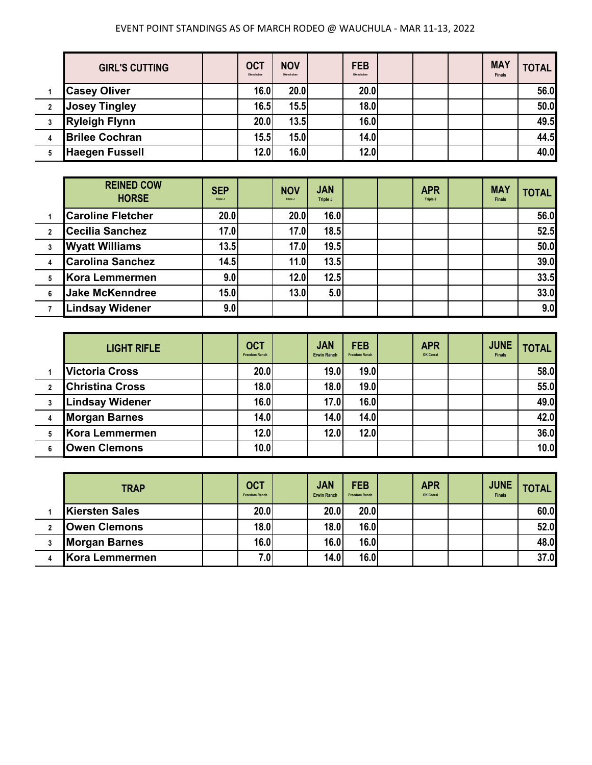## EVENT POINT STANDINGS AS OF MARCH RODEO @ WAUCHULA - MAR 11-13, 2022

|              | <b>GIRL'S CUTTING</b> | <b>OCT</b><br>Okeechobee | <b>NOV</b><br>Okeechobee | <b>FEB</b><br>Okeechobee |  | <b>MAY</b><br><b>Finals</b> | <b>TOTAL</b> |
|--------------|-----------------------|--------------------------|--------------------------|--------------------------|--|-----------------------------|--------------|
|              | <b>Casey Oliver</b>   | 16.0                     | 20.0                     | 20.0                     |  |                             | 56.0         |
| $\mathbf{2}$ | <b>Josey Tingley</b>  | 16.5                     | 15.5                     | 18.0                     |  |                             | 50.0         |
| 3            | <b>Ryleigh Flynn</b>  | 20.0                     | 13.5                     | 16.0                     |  |                             | 49.5         |
| 4            | <b>Brilee Cochran</b> | 15.5                     | 15.0                     | 14.0                     |  |                             | 44.5         |
|              | <b>Haegen Fussell</b> | 12.0                     | 16.0                     | 12.0                     |  |                             | 40.0         |

|              | <b>REINED COW</b><br><b>HORSE</b> | <b>SEP</b><br>Triple J | <b>NOV</b><br>Triple J | <b>JAN</b><br>Triple J |  | <b>APR</b><br>Triple J | <b>MAY</b><br><b>Finals</b> | <b>TOTAL</b> |
|--------------|-----------------------------------|------------------------|------------------------|------------------------|--|------------------------|-----------------------------|--------------|
|              | <b>Caroline Fletcher</b>          | 20.0                   | 20.0                   | 16.0                   |  |                        |                             | 56.0         |
| $\mathbf{2}$ | <b>Cecilia Sanchez</b>            | 17.0                   | 17.0                   | 18.5                   |  |                        |                             | 52.5         |
|              | <b>Wyatt Williams</b>             | 13.5                   | 17.0                   | 19.5                   |  |                        |                             | 50.0         |
| 4            | <b>Carolina Sanchez</b>           | 14.5                   | 11.0                   | 13.5                   |  |                        |                             | 39.0         |
|              | Kora Lemmermen                    | 9.0                    | 12.0                   | 12.5                   |  |                        |                             | 33.5         |
| 6            | <b>Jake McKenndree</b>            | 15.0                   | 13.0                   | 5.0                    |  |                        |                             | 33.0         |
|              | <b>Lindsay Widener</b>            | 9.0                    |                        |                        |  |                        |                             | 9.0          |

|              | <b>LIGHT RIFLE</b>     | <b>OCT</b><br><b>Freedom Ranch</b> | <b>JAN</b><br><b>Erwin Ranch</b> | <b>FEB</b><br><b>Freedom Ranch</b> | <b>APR</b><br>OK Corral | <b>JUNE</b><br><b>Finals</b> | <b>TOTAL</b> |
|--------------|------------------------|------------------------------------|----------------------------------|------------------------------------|-------------------------|------------------------------|--------------|
|              | <b>Victoria Cross</b>  | 20.0                               | 19.0                             | 19.0                               |                         |                              | 58.0         |
| $\mathbf{2}$ | <b>Christina Cross</b> | 18.0                               | 18.0                             | 19.0                               |                         |                              | 55.0         |
|              | <b>Lindsay Widener</b> | 16.0                               | 17.0                             | 16.0                               |                         |                              | 49.0         |
|              | <b>Morgan Barnes</b>   | 14.0                               | 14.0                             | 14.0                               |                         |                              | 42.0         |
| 5            | Kora Lemmermen         | 12.0                               | 12.0                             | 12.0                               |                         |                              | 36.0         |
|              | <b>Owen Clemons</b>    | 10.0                               |                                  |                                    |                         |                              | 10.0         |

| <b>TRAP</b>           | <b>OCT</b><br><b>Freedom Ranch</b> | <b>JAN</b><br><b>Erwin Ranch</b> | <b>FEB</b><br><b>Freedom Ranch</b> | <b>APR</b><br>OK Corral | <b>JUNE</b><br><b>Finals</b> | <b>TOTAL</b> |
|-----------------------|------------------------------------|----------------------------------|------------------------------------|-------------------------|------------------------------|--------------|
| <b>Kiersten Sales</b> | 20.0                               | 20.0                             | 20.0                               |                         |                              | 60.0         |
| <b>Owen Clemons</b>   | 18.0                               | 18.0                             | 16.0                               |                         |                              | 52.0         |
| <b>Morgan Barnes</b>  | 16.0                               | 16.0                             | 16.0                               |                         |                              | 48.0         |
| Kora Lemmermen        | 7.0                                | 14.0                             | 16.0                               |                         |                              | 37.0         |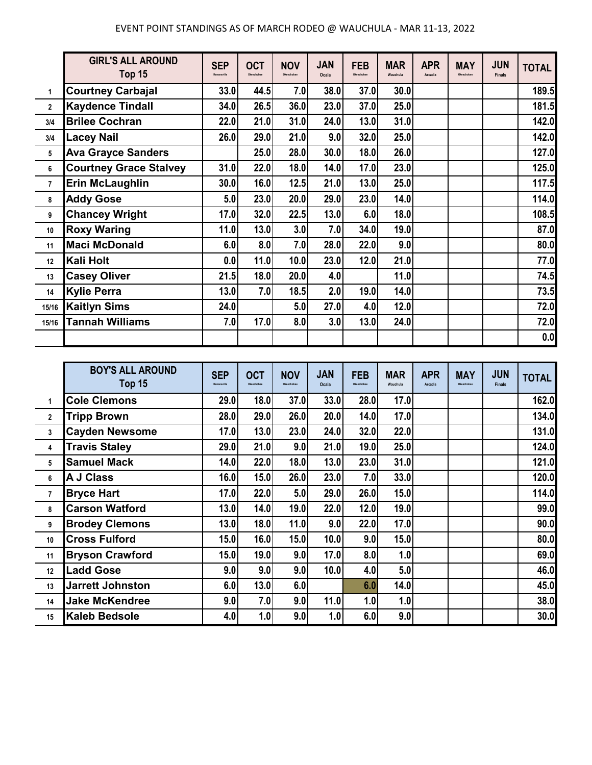|                | <b>GIRL'S ALL AROUND</b><br>Top 15 | <b>SEP</b><br>Kenansville | <b>OCT</b><br>Okeechobee | <b>NOV</b><br>Okeechobee | <b>JAN</b><br>Ocala | <b>FEB</b><br>Okeechobee | <b>MAR</b><br>Wauchula | <b>APR</b><br>Arcadia | <b>MAY</b><br>Okeechobee | <b>JUN</b><br><b>Finals</b> | <b>TOTAL</b> |
|----------------|------------------------------------|---------------------------|--------------------------|--------------------------|---------------------|--------------------------|------------------------|-----------------------|--------------------------|-----------------------------|--------------|
| 1              | <b>Courtney Carbajal</b>           | 33.0                      | 44.5                     | 7.0                      | 38.0                | 37.0                     | 30.0                   |                       |                          |                             | 189.5        |
| $\overline{2}$ | <b>Kaydence Tindall</b>            | 34.0                      | 26.5                     | 36.0                     | 23.0                | 37.0                     | 25.0                   |                       |                          |                             | 181.5        |
| 3/4            | <b>Brilee Cochran</b>              | 22.0                      | 21.0                     | 31.0                     | 24.0                | 13.0                     | 31.0                   |                       |                          |                             | 142.0        |
| 3/4            | <b>Lacey Nail</b>                  | 26.0                      | 29.0                     | 21.0                     | 9.0                 | 32.0                     | 25.0                   |                       |                          |                             | 142.0        |
| 5              | <b>Ava Grayce Sanders</b>          |                           | 25.0                     | 28.0                     | 30.0                | 18.0                     | 26.0                   |                       |                          |                             | 127.0        |
| 6              | <b>Courtney Grace Stalvey</b>      | 31.0                      | 22.0                     | 18.0                     | 14.0                | 17.0                     | 23.0                   |                       |                          |                             | 125.0        |
| $\overline{7}$ | <b>Erin McLaughlin</b>             | 30.0                      | 16.0                     | 12.5                     | 21.0                | 13.0                     | 25.0                   |                       |                          |                             | 117.5        |
| 8              | <b>Addy Gose</b>                   | 5.0                       | 23.0                     | 20.0                     | 29.0                | 23.0                     | 14.0                   |                       |                          |                             | 114.0        |
| 9              | <b>Chancey Wright</b>              | 17.0                      | 32.0                     | 22.5                     | 13.0                | 6.0                      | 18.0                   |                       |                          |                             | 108.5        |
| 10             | <b>Roxy Waring</b>                 | 11.0                      | 13.0                     | 3.0                      | 7.0                 | 34.0                     | 19.0                   |                       |                          |                             | 87.0         |
| 11             | <b>Maci McDonald</b>               | 6.0                       | 8.0                      | 7.0                      | 28.0                | 22.0                     | 9.0                    |                       |                          |                             | 80.0         |
| 12             | Kali Holt                          | 0.0                       | 11.0                     | 10.0                     | 23.0                | 12.0                     | 21.0                   |                       |                          |                             | 77.0         |
| 13             | <b>Casey Oliver</b>                | 21.5                      | 18.0                     | 20.0                     | 4.0                 |                          | 11.0                   |                       |                          |                             | 74.5         |
| 14             | <b>Kylie Perra</b>                 | 13.0                      | 7.0                      | 18.5                     | 2.0                 | 19.0                     | 14.0                   |                       |                          |                             | 73.5         |
| 15/16          | <b>Kaitlyn Sims</b>                | 24.0                      |                          | 5.0                      | 27.0                | 4.0                      | 12.0                   |                       |                          |                             | 72.0         |
| 15/16          | <b>Tannah Williams</b>             | 7.0                       | 17.0                     | 8.0                      | 3.0                 | 13.0                     | 24.0                   |                       |                          |                             | 72.0         |
|                |                                    |                           |                          |                          |                     |                          |                        |                       |                          |                             | 0.0          |

|                | <b>BOY'S ALL AROUND</b><br>Top 15 | <b>SEP</b><br>Kenansville | <b>OCT</b><br>Okeechobee | <b>NOV</b><br>Okeechobee | <b>JAN</b><br>Ocala | <b>FEB</b><br>Okeechobee | <b>MAR</b><br>Wauchula | <b>APR</b><br>Arcadia | <b>MAY</b><br>Okeechobee | <b>JUN</b><br><b>Finals</b> | <b>TOTAL</b> |
|----------------|-----------------------------------|---------------------------|--------------------------|--------------------------|---------------------|--------------------------|------------------------|-----------------------|--------------------------|-----------------------------|--------------|
| 1              | <b>Cole Clemons</b>               | 29.0                      | 18.0                     | 37.0                     | 33.0                | 28.0                     | 17.0                   |                       |                          |                             | 162.0        |
| $\overline{2}$ | <b>Tripp Brown</b>                | 28.0                      | 29.0                     | 26.0                     | 20.0                | 14.0                     | 17.0                   |                       |                          |                             | 134.0        |
| 3              | <b>Cayden Newsome</b>             | 17.0                      | 13.0                     | 23.0                     | 24.0                | 32.0                     | 22.0                   |                       |                          |                             | 131.0        |
| 4              | <b>Travis Staley</b>              | 29.0                      | 21.0                     | 9.0                      | 21.0                | 19.0                     | 25.0                   |                       |                          |                             | 124.0        |
| 5              | <b>Samuel Mack</b>                | 14.0                      | 22.0                     | 18.0                     | 13.0                | 23.0                     | 31.0                   |                       |                          |                             | 121.0        |
| 6              | <b>A J Class</b>                  | 16.0                      | 15.0                     | 26.0                     | 23.0                | 7.0                      | 33.0                   |                       |                          |                             | 120.0        |
| $\overline{7}$ | <b>Bryce Hart</b>                 | 17.0                      | 22.0                     | 5.0                      | 29.0                | 26.0                     | 15.0                   |                       |                          |                             | 114.0        |
| 8              | <b>Carson Watford</b>             | 13.0                      | 14.0                     | 19.0                     | 22.0                | 12.0                     | 19.0                   |                       |                          |                             | 99.0         |
| 9              | <b>Brodey Clemons</b>             | 13.0                      | 18.0                     | 11.0                     | 9.0                 | 22.0                     | 17.0                   |                       |                          |                             | 90.0         |
| 10             | <b>Cross Fulford</b>              | 15.0                      | 16.0                     | 15.0                     | 10.0                | 9.0                      | 15.0                   |                       |                          |                             | 80.0         |
| 11             | <b>Bryson Crawford</b>            | 15.0                      | 19.0                     | 9.0                      | 17.0                | 8.0                      | 1.0                    |                       |                          |                             | 69.0         |
| 12             | <b>Ladd Gose</b>                  | 9.0                       | 9.0                      | 9.0                      | 10.0                | 4.0                      | 5.0                    |                       |                          |                             | 46.0         |
| 13             | <b>Jarrett Johnston</b>           | 6.0                       | 13.0                     | 6.0                      |                     | 6.0                      | 14.0                   |                       |                          |                             | 45.0         |
| 14             | <b>Jake McKendree</b>             | 9.0                       | 7.0                      | 9.0                      | 11.0                | 1.0                      | 1.0                    |                       |                          |                             | 38.0         |
| 15             | <b>Kaleb Bedsole</b>              | 4.0                       | 1.0                      | 9.0                      | 1.0                 | 6.0                      | 9.0                    |                       |                          |                             | 30.0         |